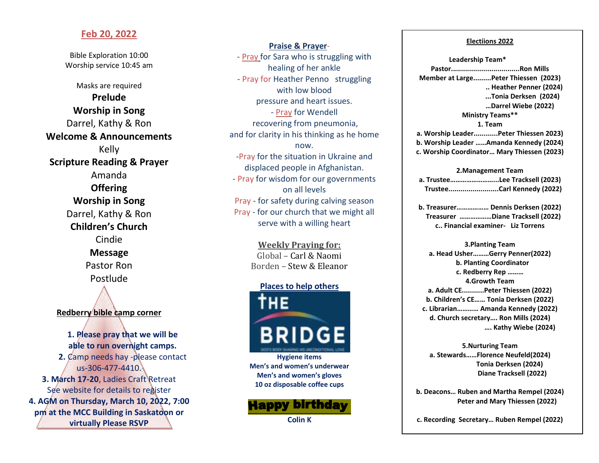### **Feb 20, 2022**

Bible Exploration 10:00 Worship service 10:45 am

Masks are required **Prelude Worship in Song** Darrel, Kathy & Ron **Welcome & Announcements** Kelly **Scripture Reading & Prayer** Amanda **Offering Worship in Song** Darrel, Kathy & Ron **Children's Church** Cindie **Message** Pastor Ron Postlude **Redberry bible camp corner 1. Please pray that we will be able to run overnight camps. 2.** Camp needs hay -please contact us-306-477-4410. **3. March 17-20**, Ladies Craft Retreat See website for details to register **4. AGM on Thursday, March 10, 2022, 7:00 pm at the MCC Building in Saskatoon or** 

**virtually Please RSVP**

**Praise & Prayer**- - Pray for Sara who is struggling with healing of her ankle - Pray for Heather Penno struggling with low blood pressure and heart issues. - Pray for Wendell recovering from pneumonia, and for clarity in his thinking as he home now. -Pray for the situation in Ukraine and displaced people in Afghanistan. - Pray for wisdom for our governments on all levels Pray - for safety during calving season Pray - for our church that we might all serve with a willing heart

> **Weekly Praying for:** Global – Carl & Naomi Borden – Stew & Eleanor

#### **Places to help others**



**Hygiene items Men's and women's underwear Men's and women's gloves 10 oz disposable coffee cups**



#### **Electiions 2022**

**Leadership Team\* Pastor..................................Ron Mills Member at Large.........Peter Thiessen (2023) .. Heather Penner (2024) ...Tonia Derksen (2024) …Darrel Wiebe (2022) Ministry Teams\*\* 1. Team a. Worship Leader............Peter Thiessen 2023) b. Worship Leader ……Amanda Kennedy (2024) c. Worship Coordinator… Mary Thiessen (2023)**

#### **2.Management Team**

| a. TrusteeLee Tracksell (2023) |
|--------------------------------|
| TrusteeCarl Kennedy (2022)     |

**b. Treasurer……………… Dennis Derksen (2022) Treasurer ………………Diane Tracksell (2022) c.. Financial examiner- Liz Torrens** 

**3.Planting Team a. Head Usher………Gerry Penner(2022) b. Planting Coordinator c. Redberry Rep ……… 4.Growth Team a. Adult CE...........Peter Thiessen (2022) b. Children's CE…… Tonia Derksen (2022) c. Librarian………… Amanda Kennedy (2022) d. Church secretary…. Ron Mills (2024) …. Kathy Wiebe (2024)**

**5.Nurturing Team a. Stewards……Florence Neufeld(2024) Tonia Derksen (2024) Diane Tracksell (2022)** 

**b. Deacons… Ruben and Martha Rempel (2024) Peter and Mary Thiessen (2022)**

**c. Recording Secretary… Ruben Rempel (2022)**